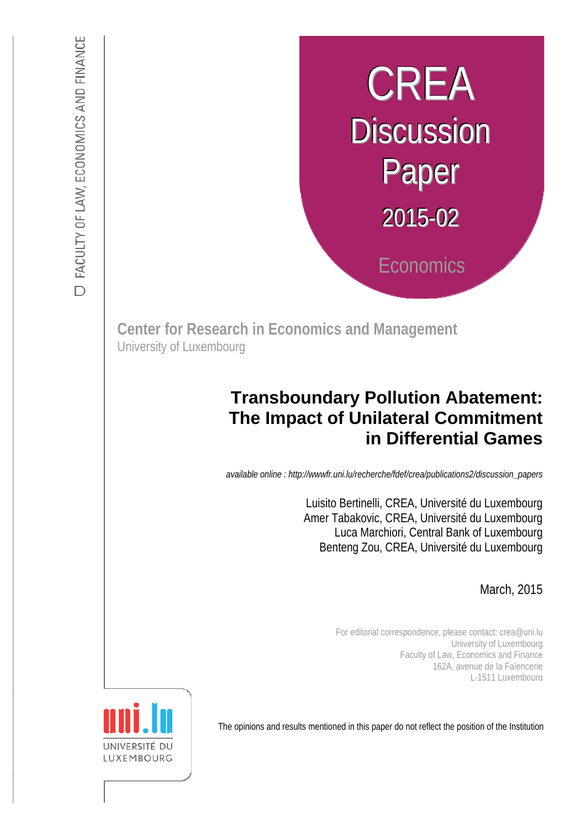# CREA **Discussion** Paper  $2015 - 02$ **Economics**

**Center for Research in Economics and Management**  University of Luxembourg

## **Transboundary Pollution Abatement: The Impact of Unilateral Commitment in Differential Games**

*available online : http://wwwfr.uni.lu/recherche/fdef/crea/publications2/discussion\_papers* 

 : Luisito Bertinelli, CREA, Université du Luxembourg s Luca Marchiori, Central Bank of Luxembourg Amer Tabakovic, CREA, Université du Luxembourg Benteng Zou, CREA, Université du Luxembourg

*Discussion Paper available online : http://fdef.uni.lu/index.php/fdef\_FR/economie/crea*  March, 2015

For editorial correspondence, please contact: crea@uni.lu University of Luxembourg Faculty of Law, Economics and Finance 162A, avenue de la Faïencerie L-1511 Luxembourg

The opinions and results mentioned in this paper do not reflect the position of the Institution

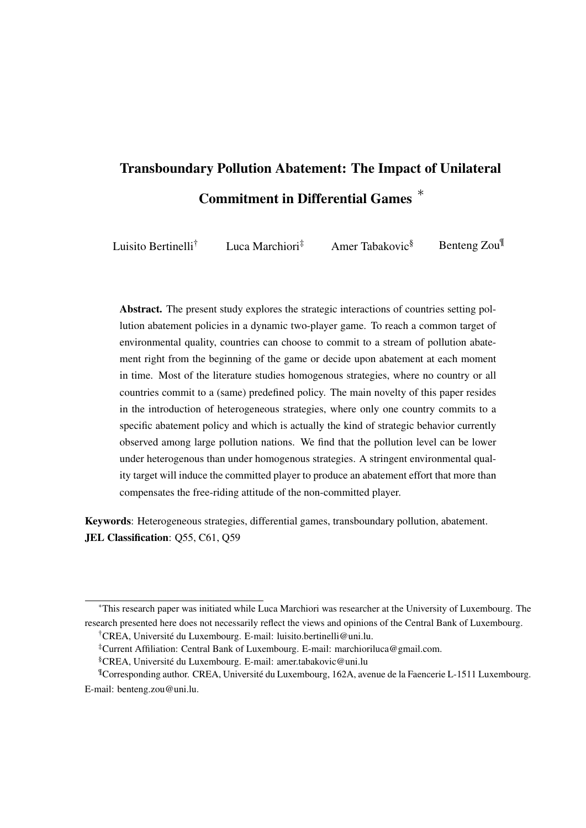# Transboundary Pollution Abatement: The Impact of Unilateral Commitment in Differential Games *∗*

Luisito Bertinelli<sup>†</sup> Luca Marchiori<sup>‡</sup> Amer Tabakovic<sup>§</sup> Benteng Zou<sup>¶</sup>

Abstract. The present study explores the strategic interactions of countries setting pollution abatement policies in a dynamic two-player game. To reach a common target of environmental quality, countries can choose to commit to a stream of pollution abatement right from the beginning of the game or decide upon abatement at each moment in time. Most of the literature studies homogenous strategies, where no country or all countries commit to a (same) predefined policy. The main novelty of this paper resides in the introduction of heterogeneous strategies, where only one country commits to a specific abatement policy and which is actually the kind of strategic behavior currently observed among large pollution nations. We find that the pollution level can be lower under heterogenous than under homogenous strategies. A stringent environmental quality target will induce the committed player to produce an abatement effort that more than compensates the free-riding attitude of the non-committed player.

Keywords: Heterogeneous strategies, differential games, transboundary pollution, abatement. JEL Classification: Q55, C61, Q59

*<sup>∗</sup>*This research paper was initiated while Luca Marchiori was researcher at the University of Luxembourg. The research presented here does not necessarily reflect the views and opinions of the Central Bank of Luxembourg.

<sup>†</sup>CREA, Universite du Luxembourg. E-mail: luisito.bertinelli@uni.lu. ´

<sup>‡</sup>Current Affiliation: Central Bank of Luxembourg. E-mail: marchioriluca@gmail.com.

<sup>§</sup>CREA, Universite du Luxembourg. E-mail: amer.tabakovic@uni.lu ´

<sup>¶</sup>Corresponding author. CREA, Universite du Luxembourg, 162A, avenue de la Faencerie L-1511 Luxembourg. ´ E-mail: benteng.zou@uni.lu.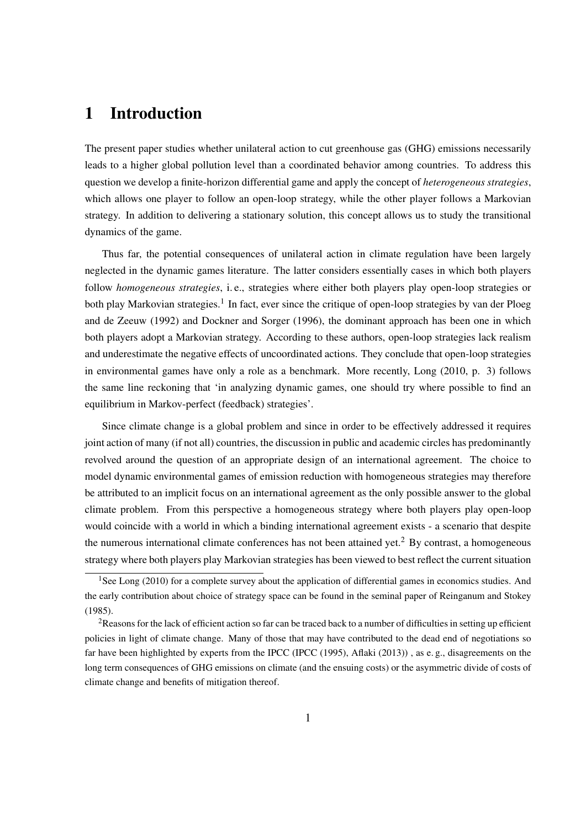## 1 Introduction

The present paper studies whether unilateral action to cut greenhouse gas (GHG) emissions necessarily leads to a higher global pollution level than a coordinated behavior among countries. To address this question we develop a finite-horizon differential game and apply the concept of *heterogeneous strategies*, which allows one player to follow an open-loop strategy, while the other player follows a Markovian strategy. In addition to delivering a stationary solution, this concept allows us to study the transitional dynamics of the game.

Thus far, the potential consequences of unilateral action in climate regulation have been largely neglected in the dynamic games literature. The latter considers essentially cases in which both players follow *homogeneous strategies*, i. e., strategies where either both players play open-loop strategies or both play Markovian strategies.<sup>1</sup> In fact, ever since the critique of open-loop strategies by van der Ploeg and de Zeeuw (1992) and Dockner and Sorger (1996), the dominant approach has been one in which both players adopt a Markovian strategy. According to these authors, open-loop strategies lack realism and underestimate the negative effects of uncoordinated actions. They conclude that open-loop strategies in environmental games have only a role as a benchmark. More recently, Long (2010, p. 3) follows the same line reckoning that 'in analyzing dynamic games, one should try where possible to find an equilibrium in Markov-perfect (feedback) strategies'.

Since climate change is a global problem and since in order to be effectively addressed it requires joint action of many (if not all) countries, the discussion in public and academic circles has predominantly revolved around the question of an appropriate design of an international agreement. The choice to model dynamic environmental games of emission reduction with homogeneous strategies may therefore be attributed to an implicit focus on an international agreement as the only possible answer to the global climate problem. From this perspective a homogeneous strategy where both players play open-loop would coincide with a world in which a binding international agreement exists - a scenario that despite the numerous international climate conferences has not been attained yet.<sup>2</sup> By contrast, a homogeneous strategy where both players play Markovian strategies has been viewed to best reflect the current situation

<sup>&</sup>lt;sup>1</sup>See Long (2010) for a complete survey about the application of differential games in economics studies. And the early contribution about choice of strategy space can be found in the seminal paper of Reinganum and Stokey (1985).

<sup>&</sup>lt;sup>2</sup>Reasons for the lack of efficient action so far can be traced back to a number of difficulties in setting up efficient policies in light of climate change. Many of those that may have contributed to the dead end of negotiations so far have been highlighted by experts from the IPCC (IPCC (1995), Aflaki (2013)), as e.g., disagreements on the long term consequences of GHG emissions on climate (and the ensuing costs) or the asymmetric divide of costs of climate change and benefits of mitigation thereof.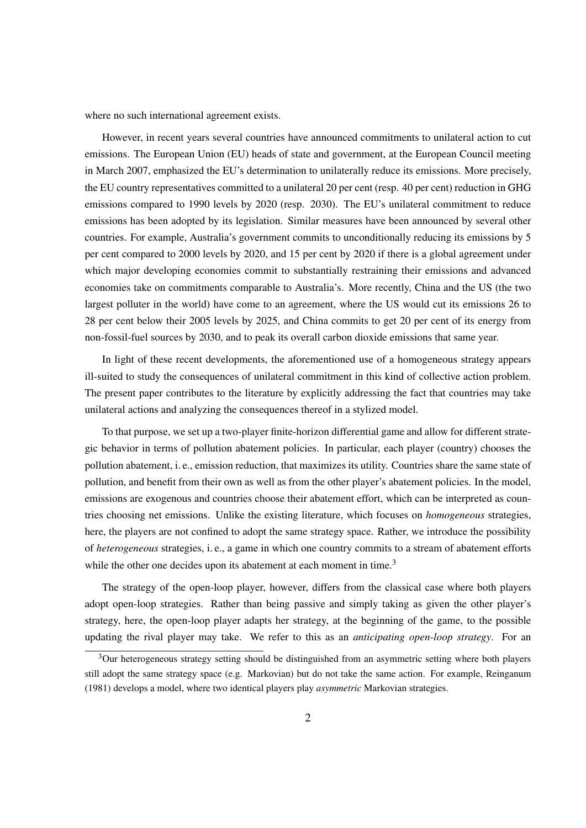where no such international agreement exists.

However, in recent years several countries have announced commitments to unilateral action to cut emissions. The European Union (EU) heads of state and government, at the European Council meeting in March 2007, emphasized the EU's determination to unilaterally reduce its emissions. More precisely, the EU country representatives committed to a unilateral 20 per cent (resp. 40 per cent) reduction in GHG emissions compared to 1990 levels by 2020 (resp. 2030). The EU's unilateral commitment to reduce emissions has been adopted by its legislation. Similar measures have been announced by several other countries. For example, Australia's government commits to unconditionally reducing its emissions by 5 per cent compared to 2000 levels by 2020, and 15 per cent by 2020 if there is a global agreement under which major developing economies commit to substantially restraining their emissions and advanced economies take on commitments comparable to Australia's. More recently, China and the US (the two largest polluter in the world) have come to an agreement, where the US would cut its emissions 26 to 28 per cent below their 2005 levels by 2025, and China commits to get 20 per cent of its energy from non-fossil-fuel sources by 2030, and to peak its overall carbon dioxide emissions that same year.

In light of these recent developments, the aforementioned use of a homogeneous strategy appears ill-suited to study the consequences of unilateral commitment in this kind of collective action problem. The present paper contributes to the literature by explicitly addressing the fact that countries may take unilateral actions and analyzing the consequences thereof in a stylized model.

To that purpose, we set up a two-player finite-horizon differential game and allow for different strategic behavior in terms of pollution abatement policies. In particular, each player (country) chooses the pollution abatement, i. e., emission reduction, that maximizes its utility. Countries share the same state of pollution, and benefit from their own as well as from the other player's abatement policies. In the model, emissions are exogenous and countries choose their abatement effort, which can be interpreted as countries choosing net emissions. Unlike the existing literature, which focuses on *homogeneous* strategies, here, the players are not confined to adopt the same strategy space. Rather, we introduce the possibility of *heterogeneous* strategies, i. e., a game in which one country commits to a stream of abatement efforts while the other one decides upon its abatement at each moment in time.<sup>3</sup>

The strategy of the open-loop player, however, differs from the classical case where both players adopt open-loop strategies. Rather than being passive and simply taking as given the other player's strategy, here, the open-loop player adapts her strategy, at the beginning of the game, to the possible updating the rival player may take. We refer to this as an *anticipating open-loop strategy*. For an

<sup>&</sup>lt;sup>3</sup>Our heterogeneous strategy setting should be distinguished from an asymmetric setting where both players still adopt the same strategy space (e.g. Markovian) but do not take the same action. For example, Reinganum (1981) develops a model, where two identical players play *asymmetric* Markovian strategies.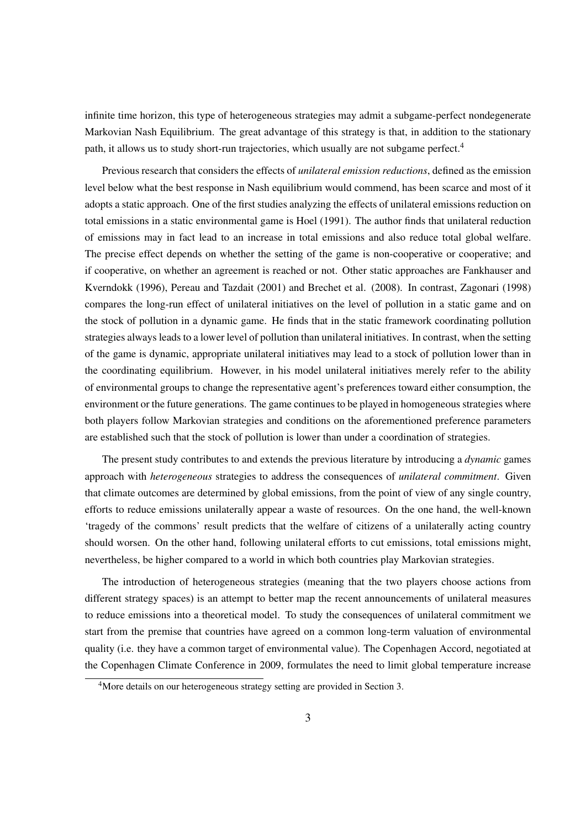infinite time horizon, this type of heterogeneous strategies may admit a subgame-perfect nondegenerate Markovian Nash Equilibrium. The great advantage of this strategy is that, in addition to the stationary path, it allows us to study short-run trajectories, which usually are not subgame perfect.<sup>4</sup>

Previous research that considers the effects of *unilateral emission reductions*, defined as the emission level below what the best response in Nash equilibrium would commend, has been scarce and most of it adopts a static approach. One of the first studies analyzing the effects of unilateral emissions reduction on total emissions in a static environmental game is Hoel (1991). The author finds that unilateral reduction of emissions may in fact lead to an increase in total emissions and also reduce total global welfare. The precise effect depends on whether the setting of the game is non-cooperative or cooperative; and if cooperative, on whether an agreement is reached or not. Other static approaches are Fankhauser and Kverndokk (1996), Pereau and Tazdait (2001) and Brechet et al. (2008). In contrast, Zagonari (1998) compares the long-run effect of unilateral initiatives on the level of pollution in a static game and on the stock of pollution in a dynamic game. He finds that in the static framework coordinating pollution strategies always leads to a lower level of pollution than unilateral initiatives. In contrast, when the setting of the game is dynamic, appropriate unilateral initiatives may lead to a stock of pollution lower than in the coordinating equilibrium. However, in his model unilateral initiatives merely refer to the ability of environmental groups to change the representative agent's preferences toward either consumption, the environment or the future generations. The game continues to be played in homogeneous strategies where both players follow Markovian strategies and conditions on the aforementioned preference parameters are established such that the stock of pollution is lower than under a coordination of strategies.

The present study contributes to and extends the previous literature by introducing a *dynamic* games approach with *heterogeneous* strategies to address the consequences of *unilateral commitment*. Given that climate outcomes are determined by global emissions, from the point of view of any single country, efforts to reduce emissions unilaterally appear a waste of resources. On the one hand, the well-known 'tragedy of the commons' result predicts that the welfare of citizens of a unilaterally acting country should worsen. On the other hand, following unilateral efforts to cut emissions, total emissions might, nevertheless, be higher compared to a world in which both countries play Markovian strategies.

The introduction of heterogeneous strategies (meaning that the two players choose actions from different strategy spaces) is an attempt to better map the recent announcements of unilateral measures to reduce emissions into a theoretical model. To study the consequences of unilateral commitment we start from the premise that countries have agreed on a common long-term valuation of environmental quality (i.e. they have a common target of environmental value). The Copenhagen Accord, negotiated at the Copenhagen Climate Conference in 2009, formulates the need to limit global temperature increase

<sup>&</sup>lt;sup>4</sup>More details on our heterogeneous strategy setting are provided in Section 3.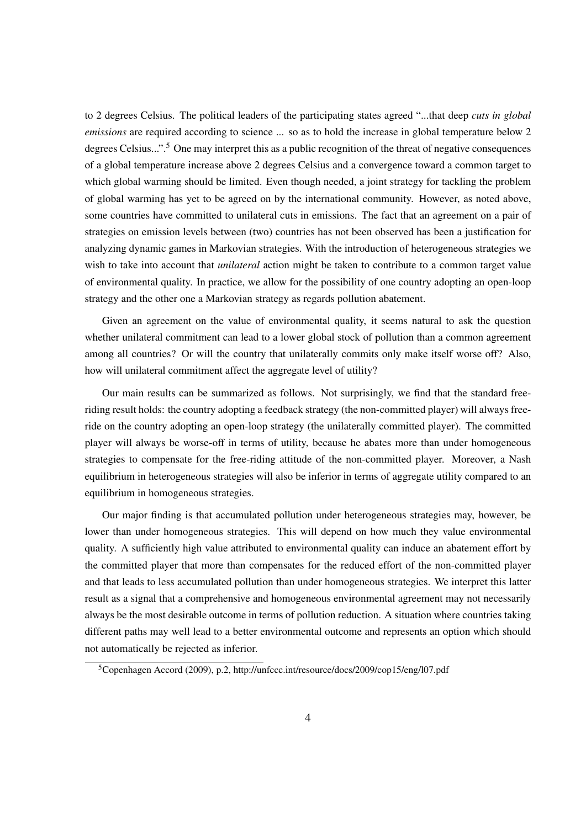to 2 degrees Celsius. The political leaders of the participating states agreed "...that deep *cuts in global emissions* are required according to science ... so as to hold the increase in global temperature below 2 degrees Celsius...".<sup>5</sup> One may interpret this as a public recognition of the threat of negative consequences of a global temperature increase above 2 degrees Celsius and a convergence toward a common target to which global warming should be limited. Even though needed, a joint strategy for tackling the problem of global warming has yet to be agreed on by the international community. However, as noted above, some countries have committed to unilateral cuts in emissions. The fact that an agreement on a pair of strategies on emission levels between (two) countries has not been observed has been a justification for analyzing dynamic games in Markovian strategies. With the introduction of heterogeneous strategies we wish to take into account that *unilateral* action might be taken to contribute to a common target value of environmental quality. In practice, we allow for the possibility of one country adopting an open-loop strategy and the other one a Markovian strategy as regards pollution abatement.

Given an agreement on the value of environmental quality, it seems natural to ask the question whether unilateral commitment can lead to a lower global stock of pollution than a common agreement among all countries? Or will the country that unilaterally commits only make itself worse off? Also, how will unilateral commitment affect the aggregate level of utility?

Our main results can be summarized as follows. Not surprisingly, we find that the standard freeriding result holds: the country adopting a feedback strategy (the non-committed player) will always freeride on the country adopting an open-loop strategy (the unilaterally committed player). The committed player will always be worse-off in terms of utility, because he abates more than under homogeneous strategies to compensate for the free-riding attitude of the non-committed player. Moreover, a Nash equilibrium in heterogeneous strategies will also be inferior in terms of aggregate utility compared to an equilibrium in homogeneous strategies.

Our major finding is that accumulated pollution under heterogeneous strategies may, however, be lower than under homogeneous strategies. This will depend on how much they value environmental quality. A sufficiently high value attributed to environmental quality can induce an abatement effort by the committed player that more than compensates for the reduced effort of the non-committed player and that leads to less accumulated pollution than under homogeneous strategies. We interpret this latter result as a signal that a comprehensive and homogeneous environmental agreement may not necessarily always be the most desirable outcome in terms of pollution reduction. A situation where countries taking different paths may well lead to a better environmental outcome and represents an option which should not automatically be rejected as inferior.

<sup>5</sup>Copenhagen Accord (2009), p.2, http://unfccc.int/resource/docs/2009/cop15/eng/l07.pdf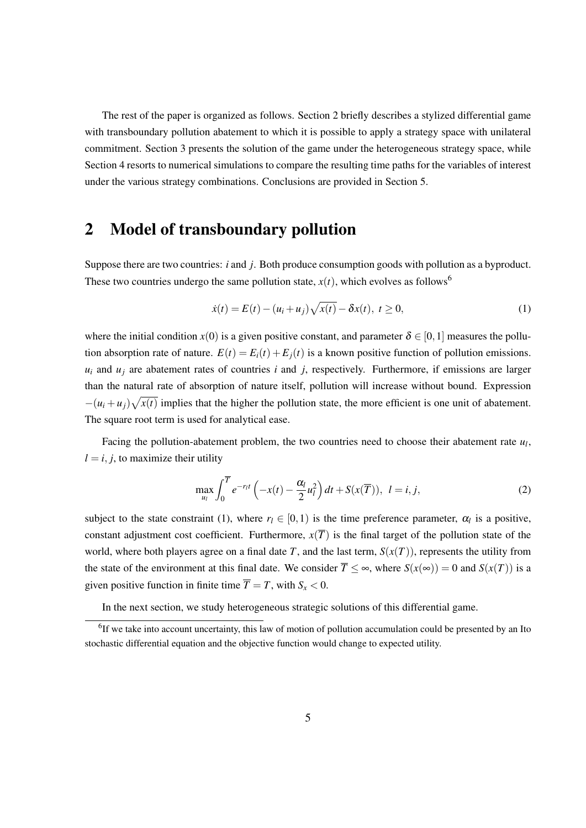The rest of the paper is organized as follows. Section 2 briefly describes a stylized differential game with transboundary pollution abatement to which it is possible to apply a strategy space with unilateral commitment. Section 3 presents the solution of the game under the heterogeneous strategy space, while Section 4 resorts to numerical simulations to compare the resulting time paths for the variables of interest under the various strategy combinations. Conclusions are provided in Section 5.

## 2 Model of transboundary pollution

Suppose there are two countries: *i* and *j*. Both produce consumption goods with pollution as a byproduct. These two countries undergo the same pollution state,  $x(t)$ , which evolves as follows<sup>6</sup>

$$
\dot{x}(t) = E(t) - (u_i + u_j)\sqrt{x(t)} - \delta x(t), \ t \ge 0,
$$
\n(1)

where the initial condition  $x(0)$  is a given positive constant, and parameter  $\delta \in [0,1]$  measures the pollution absorption rate of nature.  $E(t) = E_i(t) + E_i(t)$  is a known positive function of pollution emissions.  $u_i$  and  $u_j$  are abatement rates of countries *i* and *j*, respectively. Furthermore, if emissions are larger than the natural rate of absorption of nature itself, pollution will increase without bound. Expression  $-(u_i + u_j)\sqrt{x(t)}$  implies that the higher the pollution state, the more efficient is one unit of abatement. The square root term is used for analytical ease.

Facing the pollution-abatement problem, the two countries need to choose their abatement rate *u<sup>l</sup>* ,  $l = i, j$ , to maximize their utility

$$
\max_{u_l} \int_0^{\overline{T}} e^{-r_l t} \left( -x(t) - \frac{\alpha_l}{2} u_l^2 \right) dt + S(x(\overline{T})), \quad l = i, j,
$$
\n(2)

subject to the state constraint (1), where  $r_l \in [0,1)$  is the time preference parameter,  $\alpha_l$  is a positive, constant adjustment cost coefficient. Furthermore,  $x(\overline{T})$  is the final target of the pollution state of the world, where both players agree on a final date *T*, and the last term,  $S(x(T))$ , represents the utility from the state of the environment at this final date. We consider  $\overline{T} \leq \infty$ , where  $S(x(\infty)) = 0$  and  $S(x(T))$  is a given positive function in finite time  $\overline{T} = T$ , with  $S_x < 0$ .

In the next section, we study heterogeneous strategic solutions of this differential game.

<sup>&</sup>lt;sup>6</sup>If we take into account uncertainty, this law of motion of pollution accumulation could be presented by an Ito stochastic differential equation and the objective function would change to expected utility.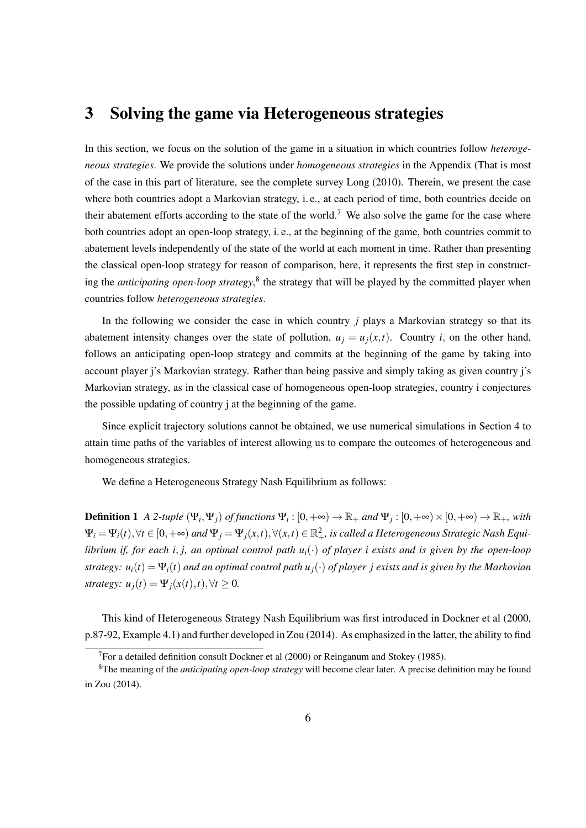### 3 Solving the game via Heterogeneous strategies

In this section, we focus on the solution of the game in a situation in which countries follow *heterogeneous strategies*. We provide the solutions under *homogeneous strategies* in the Appendix (That is most of the case in this part of literature, see the complete survey Long (2010). Therein, we present the case where both countries adopt a Markovian strategy, i. e., at each period of time, both countries decide on their abatement efforts according to the state of the world.<sup>7</sup> We also solve the game for the case where both countries adopt an open-loop strategy, i. e., at the beginning of the game, both countries commit to abatement levels independently of the state of the world at each moment in time. Rather than presenting the classical open-loop strategy for reason of comparison, here, it represents the first step in constructing the *anticipating open-loop strategy*,<sup>8</sup> the strategy that will be played by the committed player when countries follow *heterogeneous strategies*.

In the following we consider the case in which country *j* plays a Markovian strategy so that its abatement intensity changes over the state of pollution,  $u_j = u_j(x,t)$ . Country *i*, on the other hand, follows an anticipating open-loop strategy and commits at the beginning of the game by taking into account player j's Markovian strategy. Rather than being passive and simply taking as given country j's Markovian strategy, as in the classical case of homogeneous open-loop strategies, country i conjectures the possible updating of country j at the beginning of the game.

Since explicit trajectory solutions cannot be obtained, we use numerical simulations in Section 4 to attain time paths of the variables of interest allowing us to compare the outcomes of heterogeneous and homogeneous strategies.

We define a Heterogeneous Strategy Nash Equilibrium as follows:

**Definition 1** A 2-tuple  $(\Psi_i, \Psi_j)$  of functions  $\Psi_i : [0, +\infty) \to \mathbb{R}_+$  and  $\Psi_j : [0, +\infty) \times [0, +\infty) \to \mathbb{R}_+$ , with  $\Psi_i = \Psi_i(t), \forall t \in [0, +\infty)$  and  $\Psi_j = \Psi_j(x, t), \forall (x, t) \in \mathbb{R}^2_+$ , is called a Heterogeneous Strategic Nash Equi*librium if, for each i, j, an optimal control path*  $u_i(\cdot)$  *of player i exists and is given by the open-loop strategy:*  $u_i(t) = \Psi_i(t)$  *and an optimal control path*  $u_i(\cdot)$  *of player j exists and is given by the Markovian strategy:*  $u_j(t) = \Psi_j(x(t), t), \forall t \geq 0.$ 

This kind of Heterogeneous Strategy Nash Equilibrium was first introduced in Dockner et al (2000, p.87-92, Example 4.1) and further developed in Zou (2014). As emphasized in the latter, the ability to find

 $<sup>7</sup>$  For a detailed definition consult Dockner et al (2000) or Reinganum and Stokey (1985).</sup>

<sup>8</sup>The meaning of the *anticipating open-loop strategy* will become clear later. A precise definition may be found in Zou (2014).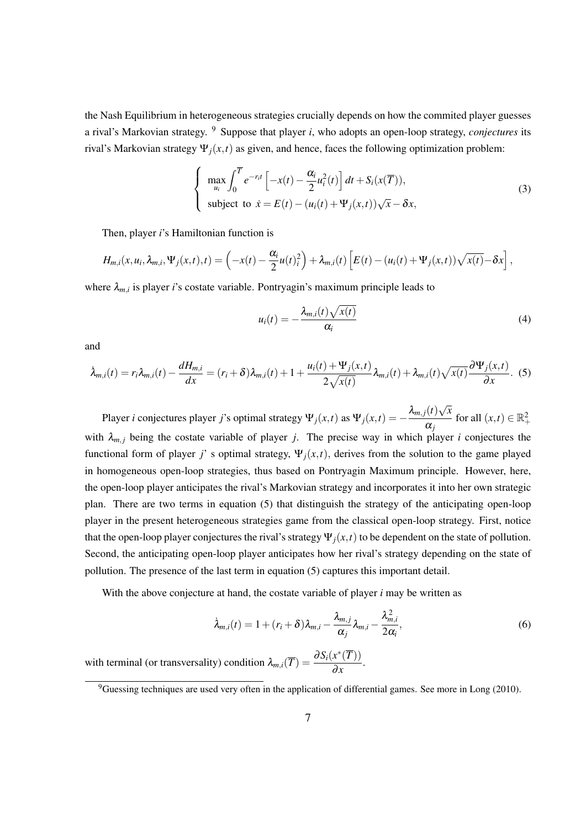the Nash Equilibrium in heterogeneous strategies crucially depends on how the commited player guesses a rival's Markovian strategy. <sup>9</sup> Suppose that player *i*, who adopts an open-loop strategy, *conjectures* its rival's Markovian strategy Ψ*j*(*x,t*) as given, and hence, faces the following optimization problem:

$$
\begin{cases}\n\max_{u_i} \int_0^{\overline{T}} e^{-r_i t} \left[ -x(t) - \frac{\alpha_i}{2} u_i^2(t) \right] dt + S_i(x(\overline{T})), \\
\text{subject to } \dot{x} = E(t) - (u_i(t) + \Psi_j(x, t)) \sqrt{x} - \delta x,\n\end{cases}
$$
\n(3)

Then, player *i*'s Hamiltonian function is

$$
H_{m,i}(x,u_i,\lambda_{m,i},\Psi_j(x,t),t)=\left(-x(t)-\frac{\alpha_i}{2}u(t)_i^2\right)+\lambda_{m,i}(t)\left[E(t)-(u_i(t)+\Psi_j(x,t))\sqrt{x(t)}-\delta x\right],
$$

where  $\lambda_{m,i}$  is player *i*'s costate variable. Pontryagin's maximum principle leads to

$$
u_i(t) = -\frac{\lambda_{m,i}(t)\sqrt{x(t)}}{\alpha_i}
$$
\n(4)

and

$$
\dot{\lambda}_{m,i}(t) = r_i \lambda_{m,i}(t) - \frac{dH_{m,i}}{dx} = (r_i + \delta) \lambda_{m,i}(t) + 1 + \frac{u_i(t) + \Psi_j(x,t)}{2\sqrt{x(t)}} \lambda_{m,i}(t) + \lambda_{m,i}(t) \sqrt{x(t)} \frac{\partial \Psi_j(x,t)}{\partial x}.
$$
 (5)

Player *i* conjectures player *j*'s optimal strategy  $\Psi_j(x,t)$  as  $\Psi_j(x,t) = -\frac{\lambda_{m,j}(t)\sqrt{x}}{\alpha_j}$  $\frac{\alpha_j}{\alpha_j}$  for all  $(x,t) \in \mathbb{R}_+^2$ with  $\lambda_{m,j}$  being the costate variable of player *j*. The precise way in which player *i* conjectures the functional form of player *j*' s optimal strategy,  $\Psi_i(x,t)$ , derives from the solution to the game played in homogeneous open-loop strategies, thus based on Pontryagin Maximum principle. However, here, the open-loop player anticipates the rival's Markovian strategy and incorporates it into her own strategic plan. There are two terms in equation (5) that distinguish the strategy of the anticipating open-loop player in the present heterogeneous strategies game from the classical open-loop strategy. First, notice that the open-loop player conjectures the rival's strategy  $\Psi_i(x,t)$  to be dependent on the state of pollution. Second, the anticipating open-loop player anticipates how her rival's strategy depending on the state of pollution. The presence of the last term in equation (5) captures this important detail.

With the above conjecture at hand, the costate variable of player *i* may be written as

$$
\dot{\lambda}_{m,i}(t) = 1 + (r_i + \delta)\lambda_{m,i} - \frac{\lambda_{m,i}}{\alpha_j}\lambda_{m,i} - \frac{\lambda_{m,i}^2}{2\alpha_i},
$$
\n(6)

with terminal (or transversality) condition  $\lambda_{m,i}(\overline{T}) = \frac{\partial S_i(x^*(\overline{T}))}{\partial T_i}$  $\frac{\partial}{\partial x}$ .

 $9^9$ Guessing techniques are used very often in the application of differential games. See more in Long (2010).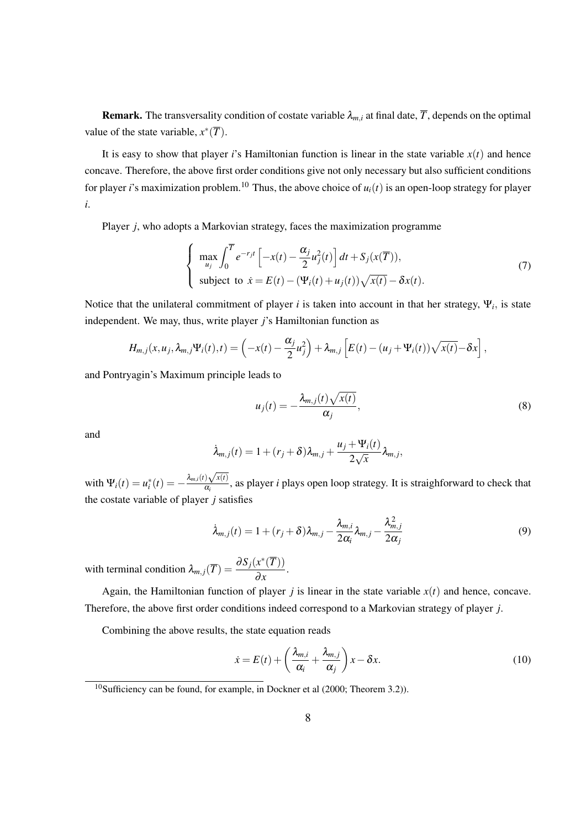**Remark.** The transversality condition of costate variable  $\lambda_m$ *<sub>i</sub>* at final date,  $\overline{T}$ , depends on the optimal value of the state variable,  $x^*(\overline{T})$ .

It is easy to show that player *i*'s Hamiltonian function is linear in the state variable  $x(t)$  and hence concave. Therefore, the above first order conditions give not only necessary but also sufficient conditions for player *i*'s maximization problem.<sup>10</sup> Thus, the above choice of  $u_i(t)$  is an open-loop strategy for player *i*.

Player *j*, who adopts a Markovian strategy, faces the maximization programme

$$
\begin{cases}\n\max_{u_j} \int_0^{\overline{T}} e^{-r_j t} \left[ -x(t) - \frac{\alpha_j}{2} u_j^2(t) \right] dt + S_j(x(\overline{T})), \\
\text{subject to } \dot{x} = E(t) - (\Psi_i(t) + u_j(t)) \sqrt{x(t)} - \delta x(t).\n\end{cases}
$$
\n(7)

Notice that the unilateral commitment of player *i* is taken into account in that her strategy, Ψ*<sup>i</sup> ,* is state independent. We may, thus, write player *j*'s Hamiltonian function as

$$
H_{m,j}(x,u_j,\lambda_{m,j}\Psi_i(t),t)=\left(-x(t)-\frac{\alpha_j}{2}u_j^2\right)+\lambda_{m,j}\left[E(t)-(u_j+\Psi_i(t))\sqrt{x(t)}-\delta x\right],
$$

and Pontryagin's Maximum principle leads to

$$
u_j(t) = -\frac{\lambda_{m,j}(t)\sqrt{x(t)}}{\alpha_j},\tag{8}
$$

and

$$
\dot{\lambda}_{m,j}(t) = 1 + (r_j + \delta)\lambda_{m,j} + \frac{u_j + \Psi_i(t)}{2\sqrt{x}}\lambda_{m,j},
$$

with  $\Psi_i(t) = u_i^*(t) = -\frac{\lambda_{m,i}(t)\sqrt{x(t)}}{\alpha_i}$  $\frac{\partial \mathbf{V}^{(k)}(t)}{\partial \mathbf{a}_i}$ , as player *i* plays open loop strategy. It is straighforward to check that the costate variable of player *j* satisfies

$$
\dot{\lambda}_{m,j}(t) = 1 + (r_j + \delta)\lambda_{m,j} - \frac{\lambda_{m,i}}{2\alpha_i}\lambda_{m,j} - \frac{\lambda_{m,j}^2}{2\alpha_j}
$$
(9)

with terminal condition  $\lambda_{m,j}(\overline{T}) = \frac{\partial S_j(x^*(\overline{T}))}{\partial x_j}$  $\frac{x^{(1)}(x)}{\partial x}$ .

Again, the Hamiltonian function of player *j* is linear in the state variable  $x(t)$  and hence, concave. Therefore, the above first order conditions indeed correspond to a Markovian strategy of player *j*.

Combining the above results, the state equation reads

$$
\dot{x} = E(t) + \left(\frac{\lambda_{m,i}}{\alpha_i} + \frac{\lambda_{m,j}}{\alpha_j}\right)x - \delta x.
$$
\n(10)

<sup>&</sup>lt;sup>10</sup>Sufficiency can be found, for example, in Dockner et al  $(2000;$  Theorem 3.2)).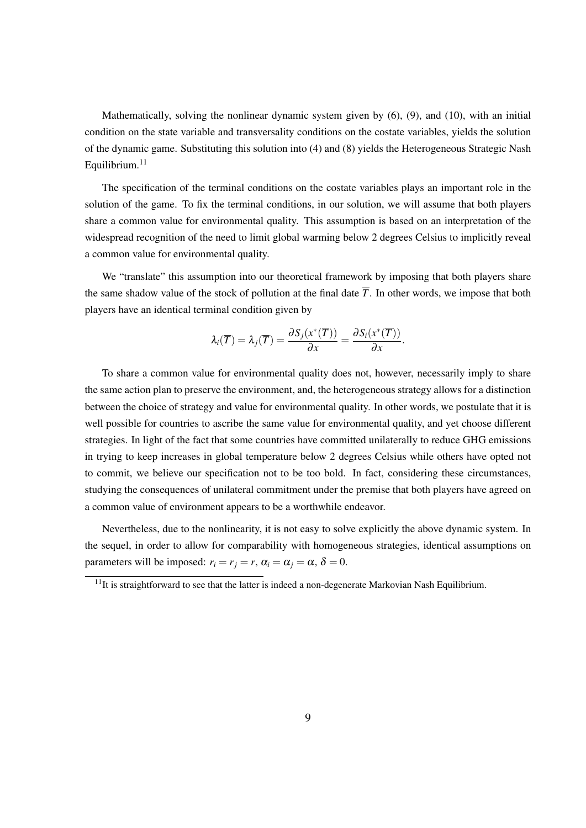Mathematically, solving the nonlinear dynamic system given by (6), (9), and (10), with an initial condition on the state variable and transversality conditions on the costate variables, yields the solution of the dynamic game. Substituting this solution into (4) and (8) yields the Heterogeneous Strategic Nash Equilibrium. $11$ 

The specification of the terminal conditions on the costate variables plays an important role in the solution of the game. To fix the terminal conditions, in our solution, we will assume that both players share a common value for environmental quality. This assumption is based on an interpretation of the widespread recognition of the need to limit global warming below 2 degrees Celsius to implicitly reveal a common value for environmental quality.

We "translate" this assumption into our theoretical framework by imposing that both players share the same shadow value of the stock of pollution at the final date  $\overline{T}$ . In other words, we impose that both players have an identical terminal condition given by

$$
\lambda_i(\overline{T})=\lambda_j(\overline{T})=\frac{\partial S_j(x^*(\overline{T}))}{\partial x}=\frac{\partial S_i(x^*(\overline{T}))}{\partial x}.
$$

To share a common value for environmental quality does not, however, necessarily imply to share the same action plan to preserve the environment, and, the heterogeneous strategy allows for a distinction between the choice of strategy and value for environmental quality. In other words, we postulate that it is well possible for countries to ascribe the same value for environmental quality, and yet choose different strategies. In light of the fact that some countries have committed unilaterally to reduce GHG emissions in trying to keep increases in global temperature below 2 degrees Celsius while others have opted not to commit, we believe our specification not to be too bold. In fact, considering these circumstances, studying the consequences of unilateral commitment under the premise that both players have agreed on a common value of environment appears to be a worthwhile endeavor.

Nevertheless, due to the nonlinearity, it is not easy to solve explicitly the above dynamic system. In the sequel, in order to allow for comparability with homogeneous strategies, identical assumptions on parameters will be imposed:  $r_i = r_j = r$ ,  $\alpha_i = \alpha_j = \alpha$ ,  $\delta = 0$ .

 $11$ It is straightforward to see that the latter is indeed a non-degenerate Markovian Nash Equilibrium.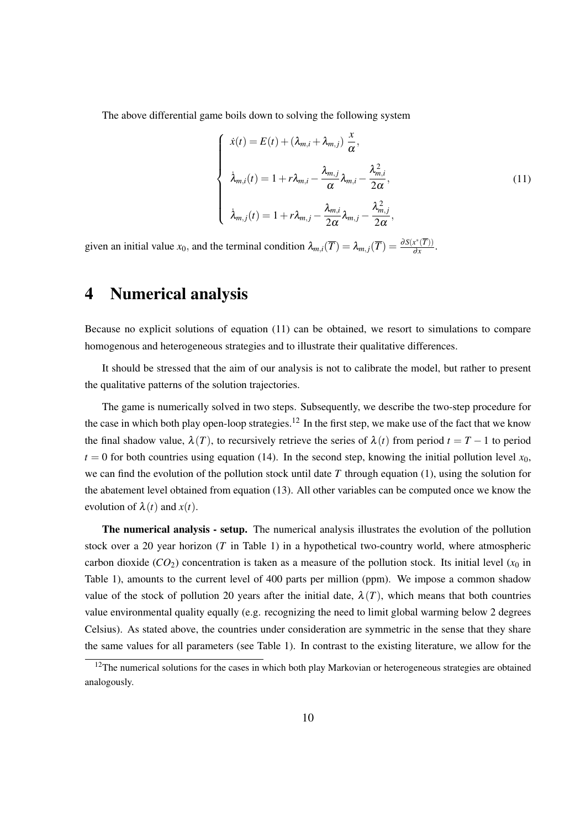The above differential game boils down to solving the following system

$$
\begin{cases}\n\dot{x}(t) = E(t) + (\lambda_{m,i} + \lambda_{m,j}) \frac{x}{\alpha}, \\
\dot{\lambda}_{m,i}(t) = 1 + r\lambda_{m,i} - \frac{\lambda_{m,j}}{\alpha} \lambda_{m,i} - \frac{\lambda_{m,i}^2}{2\alpha}, \\
\dot{\lambda}_{m,j}(t) = 1 + r\lambda_{m,j} - \frac{\lambda_{m,i}}{2\alpha} \lambda_{m,j} - \frac{\lambda_{m,j}^2}{2\alpha},\n\end{cases}
$$
\n(11)

given an initial value  $x_0$ , and the terminal condition  $\lambda_{m,i}(\overline{T}) = \lambda_{m,j}(\overline{T}) = \frac{\partial S(x^*(\overline{T}))}{\partial x}$  $\frac{x(1)}{\partial x}$ .

## 4 Numerical analysis

Because no explicit solutions of equation (11) can be obtained, we resort to simulations to compare homogenous and heterogeneous strategies and to illustrate their qualitative differences.

It should be stressed that the aim of our analysis is not to calibrate the model, but rather to present the qualitative patterns of the solution trajectories.

The game is numerically solved in two steps. Subsequently, we describe the two-step procedure for the case in which both play open-loop strategies.<sup>12</sup> In the first step, we make use of the fact that we know the final shadow value,  $\lambda(T)$ , to recursively retrieve the series of  $\lambda(t)$  from period  $t = T - 1$  to period  $t = 0$  for both countries using equation (14). In the second step, knowing the initial pollution level  $x_0$ , we can find the evolution of the pollution stock until date *T* through equation (1), using the solution for the abatement level obtained from equation (13). All other variables can be computed once we know the evolution of  $\lambda(t)$  and  $x(t)$ .

The numerical analysis - setup. The numerical analysis illustrates the evolution of the pollution stock over a 20 year horizon (*T* in Table 1) in a hypothetical two-country world, where atmospheric carbon dioxide ( $CO_2$ ) concentration is taken as a measure of the pollution stock. Its initial level ( $x_0$  in Table 1), amounts to the current level of 400 parts per million (ppm). We impose a common shadow value of the stock of pollution 20 years after the initial date,  $\lambda(T)$ , which means that both countries value environmental quality equally (e.g. recognizing the need to limit global warming below 2 degrees Celsius). As stated above, the countries under consideration are symmetric in the sense that they share the same values for all parameters (see Table 1). In contrast to the existing literature, we allow for the

 $12$ The numerical solutions for the cases in which both play Markovian or heterogeneous strategies are obtained analogously.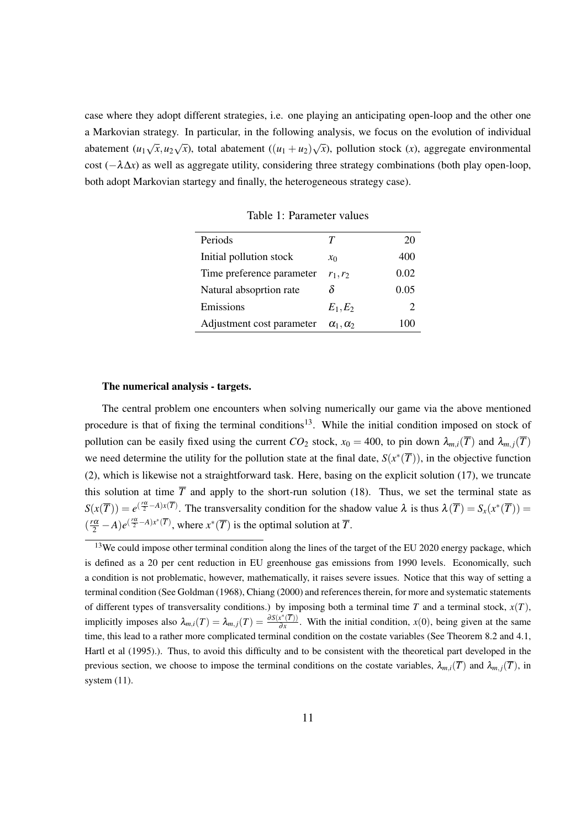case where they adopt different strategies, i.e. one playing an anticipating open-loop and the other one a Markovian strategy. In particular, in the following analysis, we focus on the evolution of individual abatement  $(u_1\sqrt{x}, u_2\sqrt{x})$ , total abatement  $((u_1 + u_2)\sqrt{x})$ , pollution stock  $(x)$ , aggregate environmental cost (*−*λ∆*x*) as well as aggregate utility, considering three strategy combinations (both play open-loop, both adopt Markovian startegy and finally, the heterogeneous strategy case).

| Periods                   | Т                    | 20   |
|---------------------------|----------------------|------|
| Initial pollution stock   | $\mathcal{X}_0$      | 400  |
| Time preference parameter | $r_1, r_2$           | 0.02 |
| Natural absoprtion rate   | δ                    | 0.05 |
| Emissions                 | $E_1,E_2$            | 2    |
| Adjustment cost parameter | $\alpha_1, \alpha_2$ | 100  |

Table 1: Parameter values

#### The numerical analysis - targets.

The central problem one encounters when solving numerically our game via the above mentioned procedure is that of fixing the terminal conditions<sup>13</sup>. While the initial condition imposed on stock of pollution can be easily fixed using the current *CO*<sub>2</sub> stock,  $x_0 = 400$ , to pin down  $\lambda_{m,i}(\overline{T})$  and  $\lambda_{m,j}(\overline{T})$ we need determine the utility for the pollution state at the final date,  $S(x^*(\overline{T}))$ , in the objective function (2), which is likewise not a straightforward task. Here, basing on the explicit solution (17), we truncate this solution at time  $\overline{T}$  and apply to the short-run solution (18). Thus, we set the terminal state as  $S(x(\overline{T})) = e^{(\frac{r\alpha}{2} - A)x(\overline{T})}$ . The transversality condition for the shadow value  $\lambda$  is thus  $\lambda(\overline{T}) = S_x(x^*(\overline{T}))$  $(\frac{r\alpha}{2} - A)e^{(\frac{r\alpha}{2} - A)x^*(T)}$ , where  $x^*(T)$  is the optimal solution at  $\overline{T}$ .

<sup>&</sup>lt;sup>13</sup>We could impose other terminal condition along the lines of the target of the EU 2020 energy package, which is defined as a 20 per cent reduction in EU greenhouse gas emissions from 1990 levels. Economically, such a condition is not problematic, however, mathematically, it raises severe issues. Notice that this way of setting a terminal condition (See Goldman (1968), Chiang (2000) and references therein, for more and systematic statements of different types of transversality conditions.) by imposing both a terminal time  $T$  and a terminal stock,  $x(T)$ , implicitly imposes also  $\lambda_{m,i}(T) = \lambda_{m,j}(T) = \frac{\partial S(x^*(T))}{\partial x}$  $\frac{x(t)}{\partial x}$ . With the initial condition, *x*(0), being given at the same time, this lead to a rather more complicated terminal condition on the costate variables (See Theorem 8.2 and 4.1, Hartl et al (1995).). Thus, to avoid this difficulty and to be consistent with the theoretical part developed in the previous section, we choose to impose the terminal conditions on the costate variables,  $\lambda_{m,i}(\overline{T})$  and  $\lambda_{m,i}(\overline{T})$ , in system (11).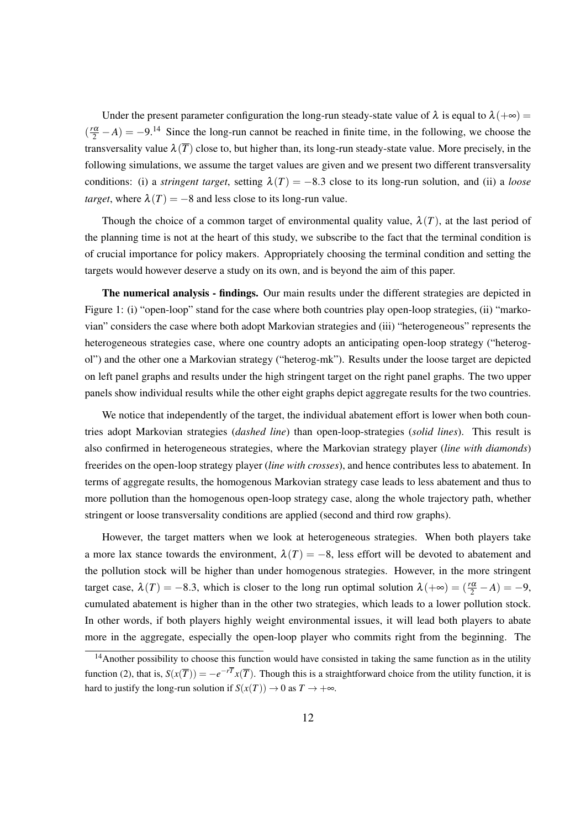Under the present parameter configuration the long-run steady-state value of  $\lambda$  is equal to  $\lambda(+\infty)$  =  $(\frac{r\alpha}{2} - A) = -9.14$  Since the long-run cannot be reached in finite time, in the following, we choose the transversality value  $\lambda(\overline{T})$  close to, but higher than, its long-run steady-state value. More precisely, in the following simulations, we assume the target values are given and we present two different transversality conditions: (i) a *stringent target*, setting  $\lambda(T) = -8.3$  close to its long-run solution, and (ii) a *loose target*, where  $\lambda(T) = -8$  and less close to its long-run value.

Though the choice of a common target of environmental quality value,  $\lambda(T)$ , at the last period of the planning time is not at the heart of this study, we subscribe to the fact that the terminal condition is of crucial importance for policy makers. Appropriately choosing the terminal condition and setting the targets would however deserve a study on its own, and is beyond the aim of this paper.

The numerical analysis - findings. Our main results under the different strategies are depicted in Figure 1: (i) "open-loop" stand for the case where both countries play open-loop strategies, (ii) "markovian" considers the case where both adopt Markovian strategies and (iii) "heterogeneous" represents the heterogeneous strategies case, where one country adopts an anticipating open-loop strategy ("heterogol") and the other one a Markovian strategy ("heterog-mk"). Results under the loose target are depicted on left panel graphs and results under the high stringent target on the right panel graphs. The two upper panels show individual results while the other eight graphs depict aggregate results for the two countries.

We notice that independently of the target, the individual abatement effort is lower when both countries adopt Markovian strategies (*dashed line*) than open-loop-strategies (*solid lines*). This result is also confirmed in heterogeneous strategies, where the Markovian strategy player (*line with diamonds*) freerides on the open-loop strategy player (*line with crosses*), and hence contributes less to abatement. In terms of aggregate results, the homogenous Markovian strategy case leads to less abatement and thus to more pollution than the homogenous open-loop strategy case, along the whole trajectory path, whether stringent or loose transversality conditions are applied (second and third row graphs).

However, the target matters when we look at heterogeneous strategies. When both players take a more lax stance towards the environment,  $\lambda(T) = -8$ , less effort will be devoted to abatement and the pollution stock will be higher than under homogenous strategies. However, in the more stringent target case,  $\lambda(T) = -8.3$ , which is closer to the long run optimal solution  $\lambda(+\infty) = (\frac{r\alpha}{2} - A) = -9$ , cumulated abatement is higher than in the other two strategies, which leads to a lower pollution stock. In other words, if both players highly weight environmental issues, it will lead both players to abate more in the aggregate, especially the open-loop player who commits right from the beginning. The

 $14$ Another possibility to choose this function would have consisted in taking the same function as in the utility function (2), that is,  $S(x(T)) = -e^{-r\overline{T}}x(\overline{T})$ . Though this is a straightforward choice from the utility function, it is hard to justify the long-run solution if  $S(x(T)) \to 0$  as  $T \to +\infty$ .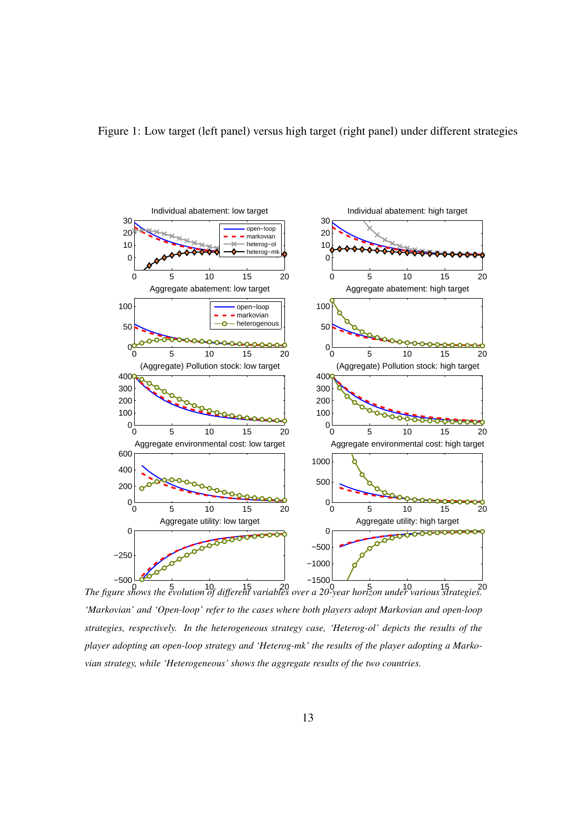



0 5 10 15 20 0 5 10 15 20 *The figure shows the evolution of different variables over a 20-year horizon under various strategies. 'Markovian' and 'Open-loop' refer to the cases where both players adopt Markovian and open-loop strategies, respectively. In the heterogeneous strategy case, 'Heterog-ol' depicts the results of the player adopting an open-loop strategy and 'Heterog-mk' the results of the player adopting a Markovian strategy, while 'Heterogeneous' shows the aggregate results of the two countries.*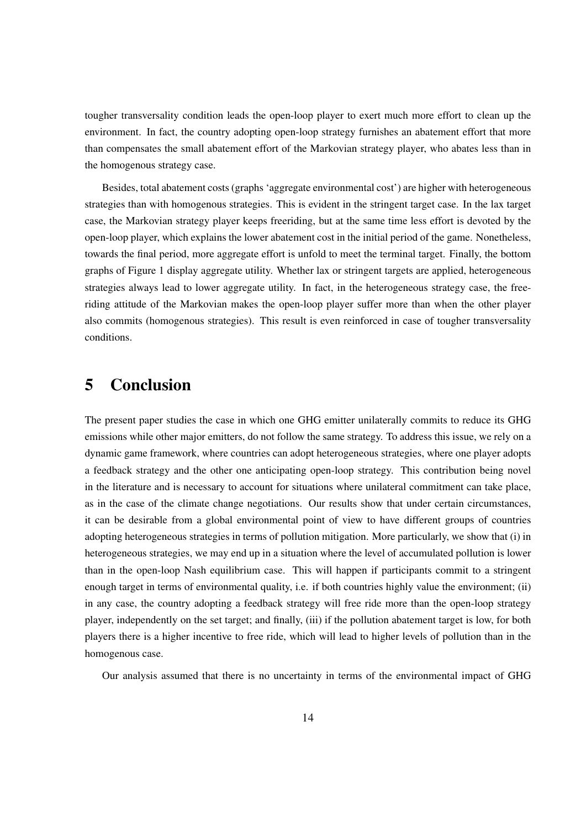tougher transversality condition leads the open-loop player to exert much more effort to clean up the environment. In fact, the country adopting open-loop strategy furnishes an abatement effort that more than compensates the small abatement effort of the Markovian strategy player, who abates less than in the homogenous strategy case.

Besides, total abatement costs (graphs 'aggregate environmental cost') are higher with heterogeneous strategies than with homogenous strategies. This is evident in the stringent target case. In the lax target case, the Markovian strategy player keeps freeriding, but at the same time less effort is devoted by the open-loop player, which explains the lower abatement cost in the initial period of the game. Nonetheless, towards the final period, more aggregate effort is unfold to meet the terminal target. Finally, the bottom graphs of Figure 1 display aggregate utility. Whether lax or stringent targets are applied, heterogeneous strategies always lead to lower aggregate utility. In fact, in the heterogeneous strategy case, the freeriding attitude of the Markovian makes the open-loop player suffer more than when the other player also commits (homogenous strategies). This result is even reinforced in case of tougher transversality conditions.

## 5 Conclusion

The present paper studies the case in which one GHG emitter unilaterally commits to reduce its GHG emissions while other major emitters, do not follow the same strategy. To address this issue, we rely on a dynamic game framework, where countries can adopt heterogeneous strategies, where one player adopts a feedback strategy and the other one anticipating open-loop strategy. This contribution being novel in the literature and is necessary to account for situations where unilateral commitment can take place, as in the case of the climate change negotiations. Our results show that under certain circumstances, it can be desirable from a global environmental point of view to have different groups of countries adopting heterogeneous strategies in terms of pollution mitigation. More particularly, we show that (i) in heterogeneous strategies, we may end up in a situation where the level of accumulated pollution is lower than in the open-loop Nash equilibrium case. This will happen if participants commit to a stringent enough target in terms of environmental quality, i.e. if both countries highly value the environment; (ii) in any case, the country adopting a feedback strategy will free ride more than the open-loop strategy player, independently on the set target; and finally, (iii) if the pollution abatement target is low, for both players there is a higher incentive to free ride, which will lead to higher levels of pollution than in the homogenous case.

Our analysis assumed that there is no uncertainty in terms of the environmental impact of GHG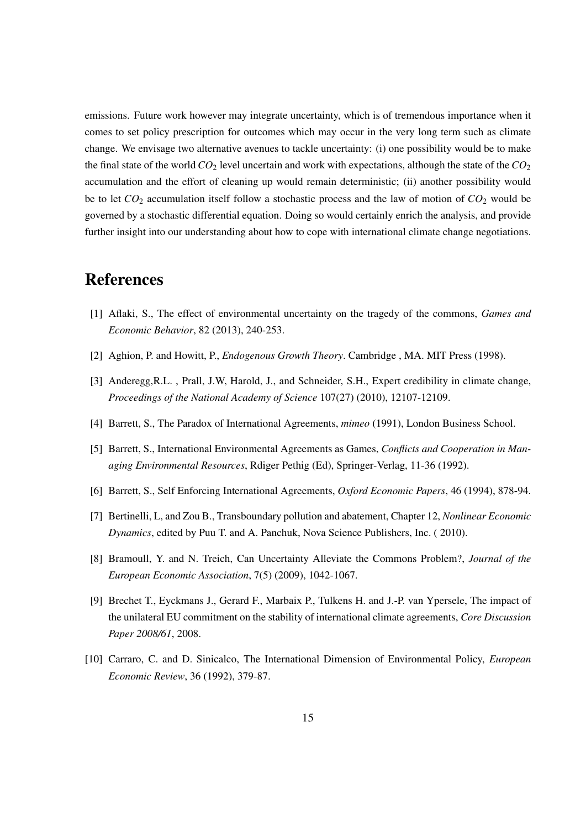emissions. Future work however may integrate uncertainty, which is of tremendous importance when it comes to set policy prescription for outcomes which may occur in the very long term such as climate change. We envisage two alternative avenues to tackle uncertainty: (i) one possibility would be to make the final state of the world *CO*<sup>2</sup> level uncertain and work with expectations, although the state of the *CO*<sup>2</sup> accumulation and the effort of cleaning up would remain deterministic; (ii) another possibility would be to let *CO*<sup>2</sup> accumulation itself follow a stochastic process and the law of motion of *CO*<sup>2</sup> would be governed by a stochastic differential equation. Doing so would certainly enrich the analysis, and provide further insight into our understanding about how to cope with international climate change negotiations.

## References

- [1] Aflaki, S., The effect of environmental uncertainty on the tragedy of the commons, *Games and Economic Behavior*, 82 (2013), 240-253.
- [2] Aghion, P. and Howitt, P., *Endogenous Growth Theory*. Cambridge , MA. MIT Press (1998).
- [3] Anderegg,R.L. , Prall, J.W, Harold, J., and Schneider, S.H., Expert credibility in climate change, *Proceedings of the National Academy of Science* 107(27) (2010), 12107-12109.
- [4] Barrett, S., The Paradox of International Agreements, *mimeo* (1991), London Business School.
- [5] Barrett, S., International Environmental Agreements as Games, *Conflicts and Cooperation in Managing Environmental Resources*, Rdiger Pethig (Ed), Springer-Verlag, 11-36 (1992).
- [6] Barrett, S., Self Enforcing International Agreements, *Oxford Economic Papers*, 46 (1994), 878-94.
- [7] Bertinelli, L, and Zou B., Transboundary pollution and abatement, Chapter 12, *Nonlinear Economic Dynamics*, edited by Puu T. and A. Panchuk, Nova Science Publishers, Inc. ( 2010).
- [8] Bramoull, Y. and N. Treich, Can Uncertainty Alleviate the Commons Problem?, *Journal of the European Economic Association*, 7(5) (2009), 1042-1067.
- [9] Brechet T., Eyckmans J., Gerard F., Marbaix P., Tulkens H. and J.-P. van Ypersele, The impact of the unilateral EU commitment on the stability of international climate agreements, *Core Discussion Paper 2008/61*, 2008.
- [10] Carraro, C. and D. Sinicalco, The International Dimension of Environmental Policy, *European Economic Review*, 36 (1992), 379-87.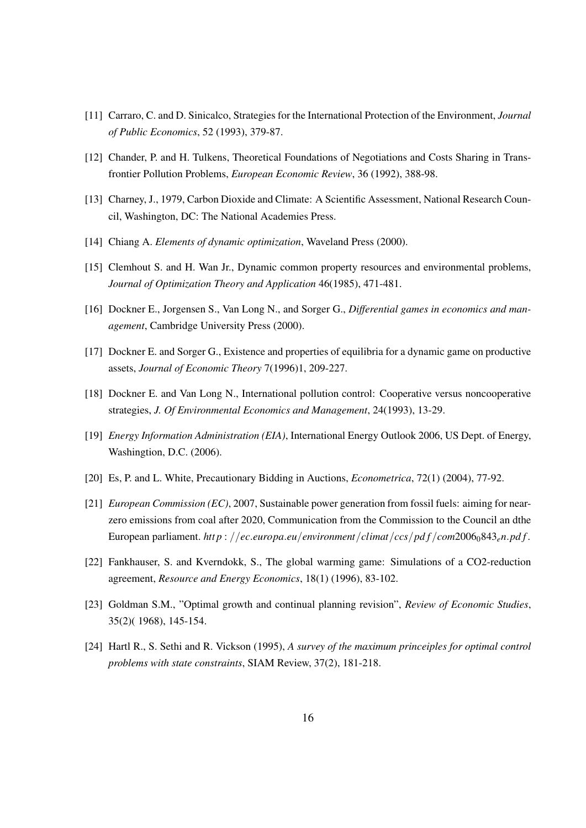- [11] Carraro, C. and D. Sinicalco, Strategies for the International Protection of the Environment, *Journal of Public Economics*, 52 (1993), 379-87.
- [12] Chander, P. and H. Tulkens, Theoretical Foundations of Negotiations and Costs Sharing in Transfrontier Pollution Problems, *European Economic Review*, 36 (1992), 388-98.
- [13] Charney, J., 1979, Carbon Dioxide and Climate: A Scientific Assessment, National Research Council, Washington, DC: The National Academies Press.
- [14] Chiang A. *Elements of dynamic optimization*, Waveland Press (2000).
- [15] Clemhout S. and H. Wan Jr., Dynamic common property resources and environmental problems, *Journal of Optimization Theory and Application* 46(1985), 471-481.
- [16] Dockner E., Jorgensen S., Van Long N., and Sorger G., *Differential games in economics and management*, Cambridge University Press (2000).
- [17] Dockner E. and Sorger G., Existence and properties of equilibria for a dynamic game on productive assets, *Journal of Economic Theory* 7(1996)1, 209-227.
- [18] Dockner E. and Van Long N., International pollution control: Cooperative versus noncooperative strategies, *J. Of Environmental Economics and Management*, 24(1993), 13-29.
- [19] *Energy Information Administration (EIA)*, International Energy Outlook 2006, US Dept. of Energy, Washingtion, D.C. (2006).
- [20] Es, P. and L. White, Precautionary Bidding in Auctions, *Econometrica*, 72(1) (2004), 77-92.
- [21] *European Commission (EC)*, 2007, Sustainable power generation from fossil fuels: aiming for nearzero emissions from coal after 2020, Communication from the Commission to the Council an dthe European parliament. http://ec.europa.eu/environment/climat/ccs/pdf/com2006<sub>0</sub>843<sub>e</sub>n.pdf.
- [22] Fankhauser, S. and Kverndokk, S., The global warming game: Simulations of a CO2-reduction agreement, *Resource and Energy Economics*, 18(1) (1996), 83-102.
- [23] Goldman S.M., "Optimal growth and continual planning revision", *Review of Economic Studies*, 35(2)( 1968), 145-154.
- [24] Hartl R., S. Sethi and R. Vickson (1995), *A survey of the maximum princeiples for optimal control problems with state constraints*, SIAM Review, 37(2), 181-218.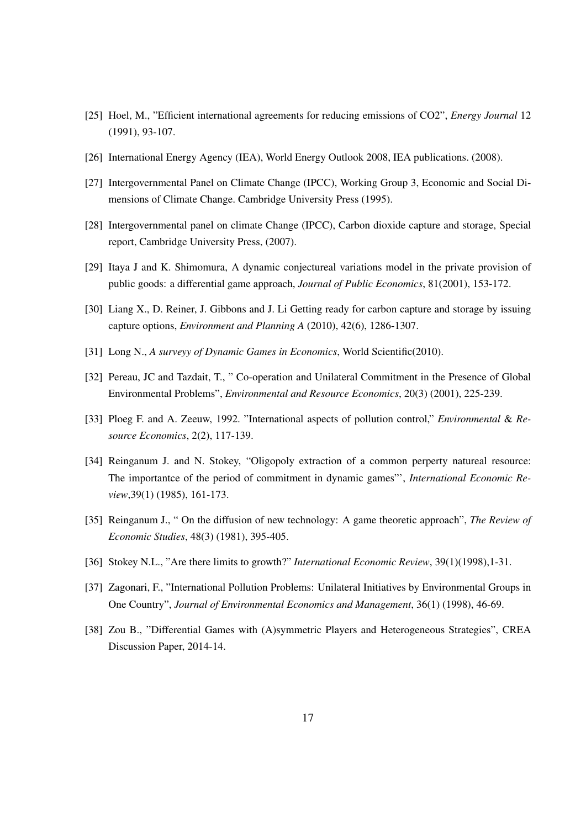- [25] Hoel, M., "Efficient international agreements for reducing emissions of CO2", *Energy Journal* 12 (1991), 93-107.
- [26] International Energy Agency (IEA), World Energy Outlook 2008, IEA publications. (2008).
- [27] Intergovernmental Panel on Climate Change (IPCC), Working Group 3, Economic and Social Dimensions of Climate Change. Cambridge University Press (1995).
- [28] Intergovernmental panel on climate Change (IPCC), Carbon dioxide capture and storage, Special report, Cambridge University Press, (2007).
- [29] Itaya J and K. Shimomura, A dynamic conjectureal variations model in the private provision of public goods: a differential game approach, *Journal of Public Economics*, 81(2001), 153-172.
- [30] Liang X., D. Reiner, J. Gibbons and J. Li Getting ready for carbon capture and storage by issuing capture options, *Environment and Planning A* (2010), 42(6), 1286-1307.
- [31] Long N., *A surveyy of Dynamic Games in Economics*, World Scientific(2010).
- [32] Pereau, JC and Tazdait, T., " Co-operation and Unilateral Commitment in the Presence of Global Environmental Problems", *Environmental and Resource Economics*, 20(3) (2001), 225-239.
- [33] Ploeg F. and A. Zeeuw, 1992. "International aspects of pollution control," *Environmental* & *Resource Economics*, 2(2), 117-139.
- [34] Reinganum J. and N. Stokey, "Oligopoly extraction of a common perperty natureal resource: The importantce of the period of commitment in dynamic games"', *International Economic Review*,39(1) (1985), 161-173.
- [35] Reinganum J., " On the diffusion of new technology: A game theoretic approach", *The Review of Economic Studies*, 48(3) (1981), 395-405.
- [36] Stokey N.L., "Are there limits to growth?" *International Economic Review*, 39(1)(1998),1-31.
- [37] Zagonari, F., "International Pollution Problems: Unilateral Initiatives by Environmental Groups in One Country", *Journal of Environmental Economics and Management*, 36(1) (1998), 46-69.
- [38] Zou B., "Differential Games with (A)symmetric Players and Heterogeneous Strategies", CREA Discussion Paper, 2014-14.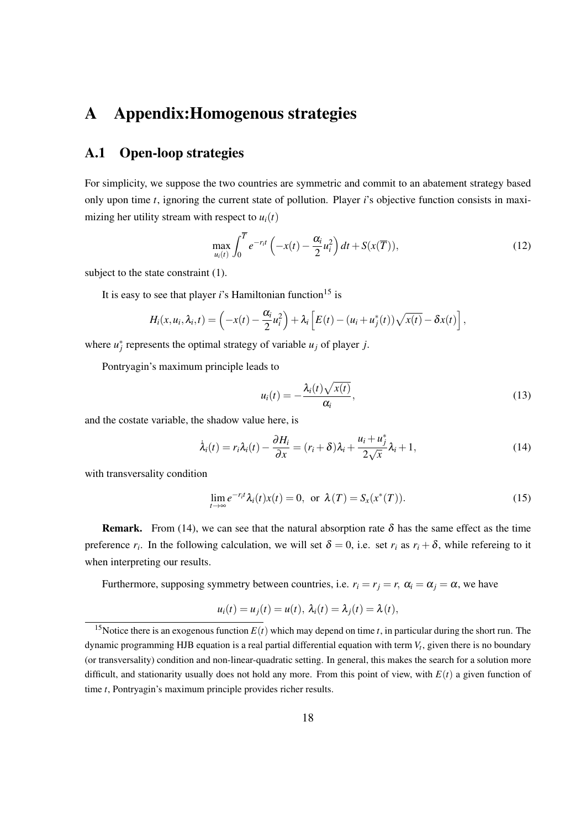## A Appendix:Homogenous strategies

#### A.1 Open-loop strategies

For simplicity, we suppose the two countries are symmetric and commit to an abatement strategy based only upon time *t*, ignoring the current state of pollution. Player *i*'s objective function consists in maximizing her utility stream with respect to  $u_i(t)$ 

$$
\max_{u_i(t)} \int_0^{\overline{T}} e^{-r_i t} \left( -x(t) - \frac{\alpha_i}{2} u_i^2 \right) dt + S(x(\overline{T})), \tag{12}
$$

subject to the state constraint  $(1)$ .

It is easy to see that player  $i$ 's Hamiltonian function<sup>15</sup> is

$$
H_i(x, u_i, \lambda_i, t) = \left(-x(t) - \frac{\alpha_i}{2}u_i^2\right) + \lambda_i\left[E(t) - (u_i + u_j^*(t))\sqrt{x(t)} - \delta x(t)\right],
$$

where  $u_j^*$  represents the optimal strategy of variable  $u_j$  of player *j*.

Pontryagin's maximum principle leads to

$$
u_i(t) = -\frac{\lambda_i(t)\sqrt{x(t)}}{\alpha_i},\qquad(13)
$$

and the costate variable, the shadow value here, is

$$
\dot{\lambda}_i(t) = r_i \lambda_i(t) - \frac{\partial H_i}{\partial x} = (r_i + \delta) \lambda_i + \frac{u_i + u_j^*}{2\sqrt{x}} \lambda_i + 1, \tag{14}
$$

with transversality condition

$$
\lim_{t \to \infty} e^{-r_i t} \lambda_i(t) x(t) = 0, \text{ or } \lambda(T) = S_x(x^*(T)).
$$
\n(15)

**Remark.** From (14), we can see that the natural absorption rate  $\delta$  has the same effect as the time preference  $r_i$ . In the following calculation, we will set  $\delta = 0$ , i.e. set  $r_i$  as  $r_i + \delta$ , while refereing to it when interpreting our results.

Furthermore, supposing symmetry between countries, i.e.  $r_i = r_j = r$ ,  $\alpha_i = \alpha_j = \alpha$ , we have

$$
u_i(t) = u_j(t) = u(t), \lambda_i(t) = \lambda_j(t) = \lambda(t),
$$

<sup>&</sup>lt;sup>15</sup>Notice there is an exogenous function  $E(t)$  which may depend on time *t*, in particular during the short run. The dynamic programming HJB equation is a real partial differential equation with term *V<sup>t</sup>* , given there is no boundary (or transversality) condition and non-linear-quadratic setting. In general, this makes the search for a solution more difficult, and stationarity usually does not hold any more. From this point of view, with *E*(*t*) a given function of time *t*, Pontryagin's maximum principle provides richer results.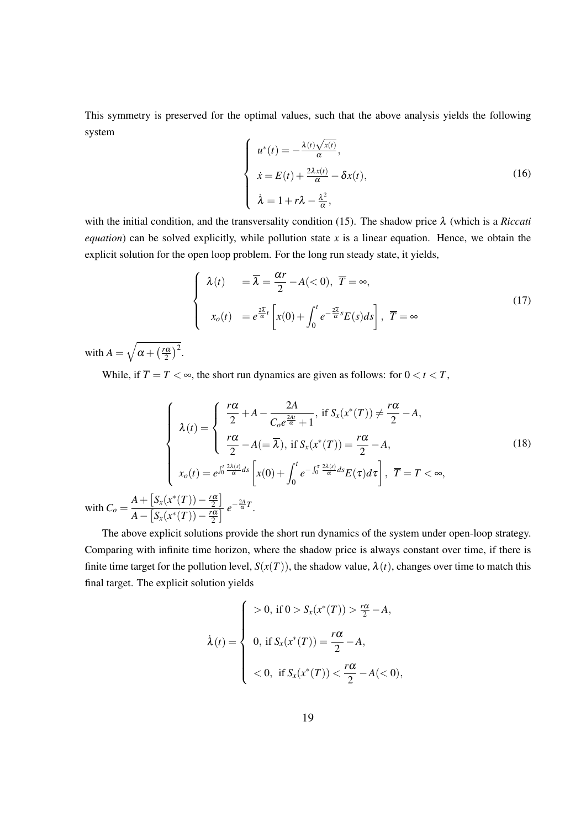This symmetry is preserved for the optimal values, such that the above analysis yields the following system

$$
\begin{cases}\n u^*(t) = -\frac{\lambda(t)\sqrt{x(t)}}{\alpha}, \\
 \dot{x} = E(t) + \frac{2\lambda x(t)}{\alpha} - \delta x(t), \\
 \dot{\lambda} = 1 + r\lambda - \frac{\lambda^2}{\alpha},\n\end{cases}
$$
\n(16)

with the initial condition, and the transversality condition (15). The shadow price λ (which is a *Riccati equation*) can be solved explicitly, while pollution state  $x$  is a linear equation. Hence, we obtain the explicit solution for the open loop problem. For the long run steady state, it yields,

$$
\begin{cases}\n\lambda(t) = \overline{\lambda} = \frac{\alpha r}{2} - A(<0), \ \overline{T} = \infty, \\
x_o(t) = e^{\frac{2\overline{\lambda}}{\alpha}t} \left[ x(0) + \int_0^t e^{-\frac{2\overline{\lambda}}{\alpha}s} E(s) ds \right], \ \overline{T} = \infty\n\end{cases}
$$
\n(17)

with  $A = \sqrt{\alpha + (\frac{r\alpha}{2})^2}$  $\frac{\alpha}{2}$ )<sup>2</sup>.

While, if  $\overline{T} = T < \infty$ , the short run dynamics are given as follows: for  $0 < t < T$ ,

$$
\begin{cases}\n\lambda(t) = \begin{cases}\n\frac{r\alpha}{2} + A - \frac{2A}{C_0 e^{\frac{2At}{\alpha}} + 1}, & \text{if } S_x(x^*(T)) \neq \frac{r\alpha}{2} - A, \\
\frac{r\alpha}{2} - A(-\overline{\lambda}), & \text{if } S_x(x^*(T)) = \frac{r\alpha}{2} - A, \\
x_o(t) = e^{\int_0^t \frac{2\lambda(s)}{\alpha} ds} \left[ x(0) + \int_0^t e^{-\int_0^{\tau} \frac{2\lambda(s)}{\alpha} ds} E(\tau) d\tau \right], & \overline{T} = T < \infty, \\
A - \left[ S_x(x^*(T)) - \frac{r\alpha}{2} \right] e^{-\frac{2A}{\alpha}T}.\n\end{cases}\n\end{cases}\n\tag{18}
$$

The above explicit solutions provide the short run dynamics of the system under open-loop strategy. Comparing with infinite time horizon, where the shadow price is always constant over time, if there is finite time target for the pollution level,  $S(x(T))$ , the shadow value,  $\lambda(t)$ , changes over time to match this final target. The explicit solution yields

$$
\lambda(t) = \begin{cases}\n> 0, \text{ if } 0 > S_x(x^*(T)) > \frac{r\alpha}{2} - A, \\
0, \text{ if } S_x(x^*(T)) = \frac{r\alpha}{2} - A, \\
< 0, \text{ if } S_x(x^*(T)) < \frac{r\alpha}{2} - A(< 0),\n\end{cases}
$$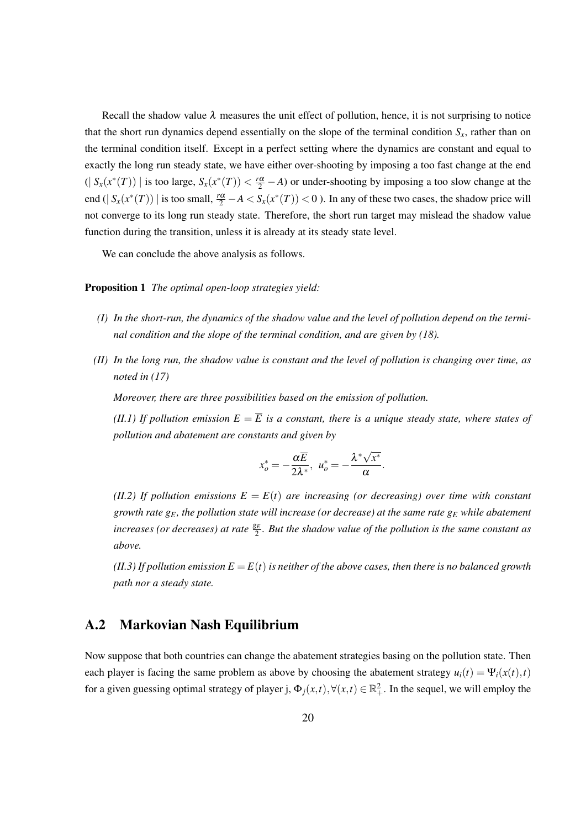Recall the shadow value  $\lambda$  measures the unit effect of pollution, hence, it is not surprising to notice that the short run dynamics depend essentially on the slope of the terminal condition  $S<sub>x</sub>$ , rather than on the terminal condition itself. Except in a perfect setting where the dynamics are constant and equal to exactly the long run steady state, we have either over-shooting by imposing a too fast change at the end  $(|S_x(x^*(T))|$  is too large,  $S_x(x^*(T)) < \frac{r\alpha}{2} - A$ ) or under-shooting by imposing a too slow change at the end ( $|S_x(x^*(T))|$  is too small,  $\frac{r\alpha}{2} - A < S_x(x^*(T)) < 0$ ). In any of these two cases, the shadow price will not converge to its long run steady state. Therefore, the short run target may mislead the shadow value function during the transition, unless it is already at its steady state level.

We can conclude the above analysis as follows.

#### Proposition 1 *The optimal open-loop strategies yield:*

- *(I) In the short-run, the dynamics of the shadow value and the level of pollution depend on the terminal condition and the slope of the terminal condition, and are given by (18).*
- *(II) In the long run, the shadow value is constant and the level of pollution is changing over time, as noted in (17)*

*Moreover, there are three possibilities based on the emission of pollution.*

*(II.1) If pollution emission*  $E = \overline{E}$  *is a constant, there is a unique steady state, where states of pollution and abatement are constants and given by*

$$
x_o^* = -\frac{\alpha \overline{E}}{2\lambda^*}, \ \ u_o^* = -\frac{\lambda^* \sqrt{x^*}}{\alpha}.
$$

*(II.2) If pollution emissions*  $E = E(t)$  *are increasing (or decreasing) over time with constant growth rate gE, the pollution state will increase (or decrease) at the same rate g<sup>E</sup> while abatement* increases (or decreases) at rate  $\frac{g_E}{2}$ . But the shadow value of the pollution is the same constant as *above.*

*(II.3) If pollution emission*  $E = E(t)$  *is neither of the above cases, then there is no balanced growth path nor a steady state.*

#### A.2 Markovian Nash Equilibrium

Now suppose that both countries can change the abatement strategies basing on the pollution state. Then each player is facing the same problem as above by choosing the abatement strategy  $u_i(t) = \Psi_i(x(t), t)$ for a given guessing optimal strategy of player j,  $\Phi_j(x,t), \forall (x,t) \in \mathbb{R}^2_+$ . In the sequel, we will employ the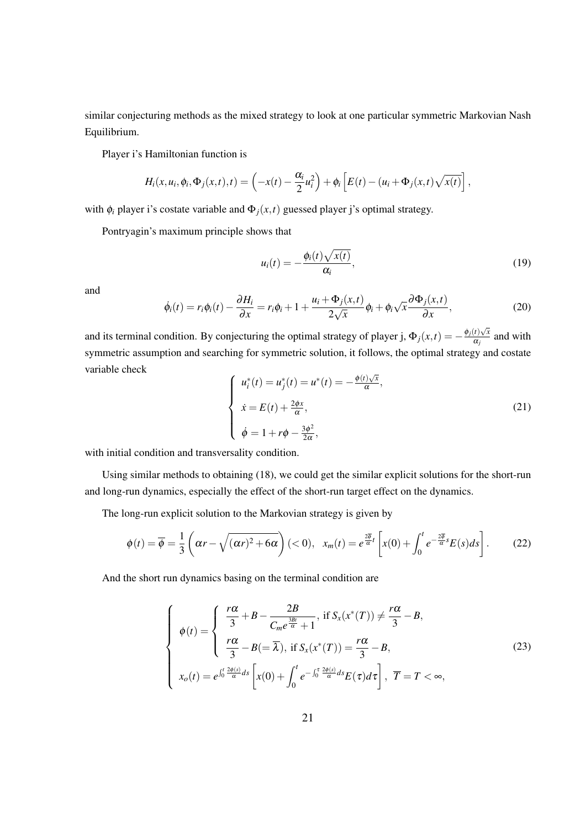similar conjecturing methods as the mixed strategy to look at one particular symmetric Markovian Nash Equilibrium.

Player i's Hamiltonian function is

$$
H_i(x, u_i, \phi_i, \Phi_j(x, t), t) = \left(-x(t) - \frac{\alpha_i}{2}u_i^2\right) + \phi_i\left[E(t) - (u_i + \Phi_j(x, t)\sqrt{x(t)}\right],
$$

with  $\phi_i$  player i's costate variable and  $\Phi_j(x,t)$  guessed player j's optimal strategy.

Pontryagin's maximum principle shows that

$$
u_i(t) = -\frac{\phi_i(t)\sqrt{x(t)}}{\alpha_i},\qquad(19)
$$

and

$$
\dot{\phi}_i(t) = r_i \phi_i(t) - \frac{\partial H_i}{\partial x} = r_i \phi_i + 1 + \frac{u_i + \Phi_j(x, t)}{2\sqrt{x}} \phi_i + \phi_i \sqrt{x} \frac{\partial \Phi_j(x, t)}{\partial x}, \tag{20}
$$

and its terminal condition. By conjecturing the optimal strategy of player j,  $\Phi_j(x,t) = -\frac{\phi_j(t)\sqrt{x}}{\alpha_j}$  $\frac{\alpha_j}{\alpha_j}$  and with symmetric assumption and searching for symmetric solution, it follows, the optimal strategy and costate variable check

$$
\begin{cases}\n u_i^*(t) = u_j^*(t) = u^*(t) = -\frac{\phi(t)\sqrt{x}}{\alpha}, \\
 \dot{x} = E(t) + \frac{2\phi x}{\alpha}, \\
 \dot{\phi} = 1 + r\phi - \frac{3\phi^2}{2\alpha},\n\end{cases}
$$
\n(21)

with initial condition and transversality condition.

Using similar methods to obtaining (18), we could get the similar explicit solutions for the short-run and long-run dynamics, especially the effect of the short-run target effect on the dynamics.

The long-run explicit solution to the Markovian strategy is given by

$$
\phi(t) = \overline{\phi} = \frac{1}{3} \left( \alpha r - \sqrt{(\alpha r)^2 + 6\alpha} \right) (< 0), \quad x_m(t) = e^{\frac{2\overline{\phi}}{\alpha}t} \left[ x(0) + \int_0^t e^{-\frac{2\overline{\phi}}{\alpha}s} E(s) ds \right].
$$
 (22)

And the short run dynamics basing on the terminal condition are

$$
\begin{cases}\n\phi(t) = \begin{cases}\n\frac{r\alpha}{3} + B - \frac{2B}{C_m e^{\frac{3Bt}{\alpha}} + 1}, & \text{if } S_x(x^*(T)) \neq \frac{r\alpha}{3} - B, \\
\frac{r\alpha}{3} - B(-\overline{\lambda}), & \text{if } S_x(x^*(T)) = \frac{r\alpha}{3} - B, \\
x_o(t) = e^{\int_0^t \frac{2\phi(s)}{\alpha} ds} \left[ x(0) + \int_0^t e^{-\int_0^{\tau} \frac{2\phi(s)}{\alpha} ds} E(\tau) d\tau \right], & \overline{T} = T < \infty,\n\end{cases}\n\end{cases}
$$
\n(23)